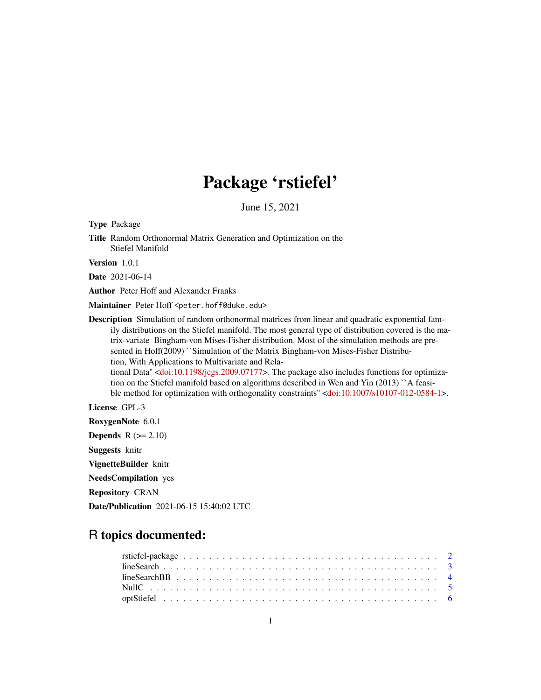# Package 'rstiefel'

June 15, 2021

Type Package

Title Random Orthonormal Matrix Generation and Optimization on the Stiefel Manifold

Version 1.0.1

Date 2021-06-14

Author Peter Hoff and Alexander Franks

Maintainer Peter Hoff <peter.hoff@duke.edu>

Description Simulation of random orthonormal matrices from linear and quadratic exponential family distributions on the Stiefel manifold. The most general type of distribution covered is the matrix-variate Bingham-von Mises-Fisher distribution. Most of the simulation methods are presented in Hoff(2009) ``Simulation of the Matrix Bingham-von Mises-Fisher Distribution, With Applications to Multivariate and Relational Data'' [<doi:10.1198/jcgs.2009.07177>](https://doi.org/10.1198/jcgs.2009.07177). The package also includes functions for optimiza-

tion on the Stiefel manifold based on algorithms described in Wen and Yin (2013) ``A feasible method for optimization with orthogonality constraints'' [<doi:10.1007/s10107-012-0584-1>](https://doi.org/10.1007/s10107-012-0584-1).

License GPL-3

RoxygenNote 6.0.1 **Depends**  $R$  ( $>= 2.10$ ) Suggests knitr VignetteBuilder knitr NeedsCompilation yes Repository CRAN Date/Publication 2021-06-15 15:40:02 UTC

# R topics documented: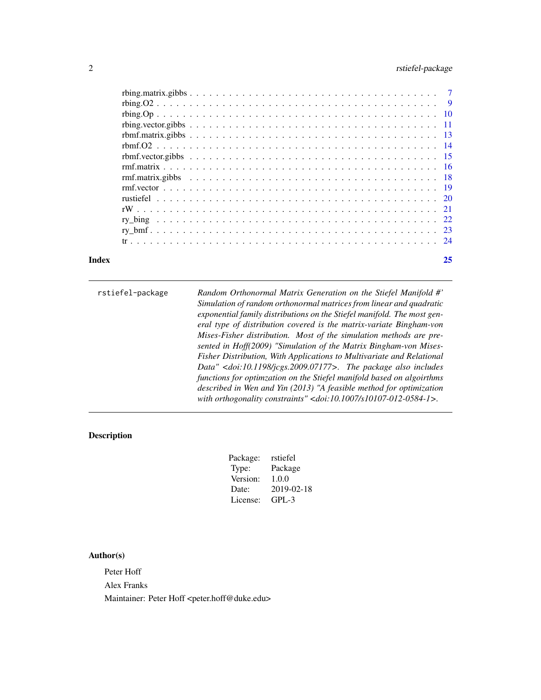<span id="page-1-0"></span>

| Index |  |  |  |  |  |  |  |  |  |  |  |  |  |  |  |  | 25 |
|-------|--|--|--|--|--|--|--|--|--|--|--|--|--|--|--|--|----|
|       |  |  |  |  |  |  |  |  |  |  |  |  |  |  |  |  |    |
|       |  |  |  |  |  |  |  |  |  |  |  |  |  |  |  |  |    |
|       |  |  |  |  |  |  |  |  |  |  |  |  |  |  |  |  |    |
|       |  |  |  |  |  |  |  |  |  |  |  |  |  |  |  |  |    |
|       |  |  |  |  |  |  |  |  |  |  |  |  |  |  |  |  |    |
|       |  |  |  |  |  |  |  |  |  |  |  |  |  |  |  |  |    |
|       |  |  |  |  |  |  |  |  |  |  |  |  |  |  |  |  |    |
|       |  |  |  |  |  |  |  |  |  |  |  |  |  |  |  |  |    |
|       |  |  |  |  |  |  |  |  |  |  |  |  |  |  |  |  |    |
|       |  |  |  |  |  |  |  |  |  |  |  |  |  |  |  |  |    |
|       |  |  |  |  |  |  |  |  |  |  |  |  |  |  |  |  |    |
|       |  |  |  |  |  |  |  |  |  |  |  |  |  |  |  |  |    |
|       |  |  |  |  |  |  |  |  |  |  |  |  |  |  |  |  |    |
|       |  |  |  |  |  |  |  |  |  |  |  |  |  |  |  |  |    |
|       |  |  |  |  |  |  |  |  |  |  |  |  |  |  |  |  |    |

| rstiefel-package | Random Orthonormal Matrix Generation on the Stiefel Manifold #'<br>Simulation of random orthonormal matrices from linear and quadratic<br>exponential family distributions on the Stiefel manifold. The most gen-<br>eral type of distribution covered is the matrix-variate Bingham-von<br>Mises-Fisher distribution. Most of the simulation methods are pre-<br>sented in Hoff(2009) "Simulation of the Matrix Bingham-von Mises-<br>Fisher Distribution, With Applications to Multivariate and Relational<br>Data" $\langle$ doi:10.1198/jcgs.2009.07177>. The package also includes<br>functions for optimzation on the Stiefel manifold based on algoirthms |
|------------------|------------------------------------------------------------------------------------------------------------------------------------------------------------------------------------------------------------------------------------------------------------------------------------------------------------------------------------------------------------------------------------------------------------------------------------------------------------------------------------------------------------------------------------------------------------------------------------------------------------------------------------------------------------------|
|                  | described in Wen and Yin (2013) "A feasible method for optimization<br>with orthogonality constraints" < $doi:10.1007/s10107-012-0584-1$ >.                                                                                                                                                                                                                                                                                                                                                                                                                                                                                                                      |

# Description

| Package: | rstiefel   |
|----------|------------|
| Type:    | Package    |
| Version: | 1.0.0      |
| Date:    | 2019-02-18 |
| License: | GPL-3      |
|          |            |

# Author(s)

Peter Hoff Alex Franks Maintainer: Peter Hoff <peter.hoff@duke.edu>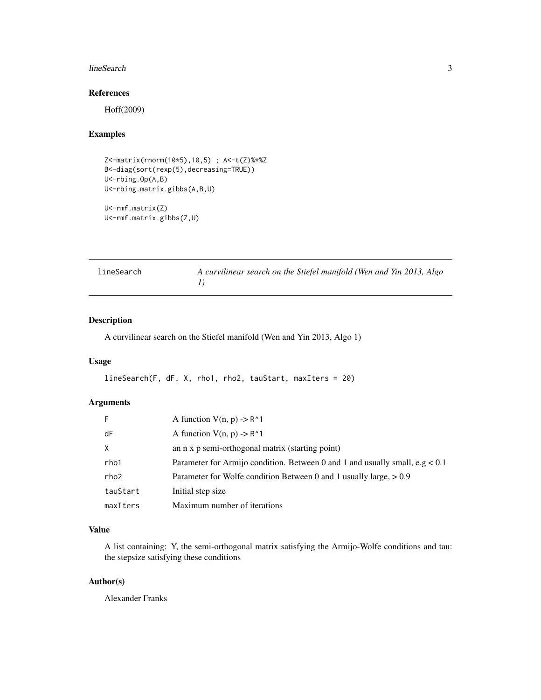#### <span id="page-2-0"></span>lineSearch 3

#### References

Hoff(2009)

#### Examples

```
Z<-matrix(rnorm(10*5),10,5) ; A<-t(Z)%*%Z
B<-diag(sort(rexp(5),decreasing=TRUE))
U<-rbing.Op(A,B)
U<-rbing.matrix.gibbs(A,B,U)
U<-rmf.matrix(Z)
U<-rmf.matrix.gibbs(Z,U)
```

| lineSearch | A curvilinear search on the Stiefel manifold (Wen and Yin 2013, Algo |
|------------|----------------------------------------------------------------------|
|            |                                                                      |

#### Description

A curvilinear search on the Stiefel manifold (Wen and Yin 2013, Algo 1)

#### Usage

```
lineSearch(F, dF, X, rho1, rho2, tauStart, maxIters = 20)
```
#### Arguments

| -F           | A function $V(n, p) \rightarrow R^1$                                           |
|--------------|--------------------------------------------------------------------------------|
| dF           | A function $V(n, p) \rightarrow R^1$                                           |
| $\mathsf{X}$ | an n x p semi-orthogonal matrix (starting point)                               |
| rho1         | Parameter for Armijo condition. Between 0 and 1 and usually small, $e.g < 0.1$ |
| rho2         | Parameter for Wolfe condition Between 0 and 1 usually large, $> 0.9$           |
| tauStart     | Initial step size                                                              |
| maxIters     | Maximum number of iterations                                                   |

#### Value

A list containing: Y, the semi-orthogonal matrix satisfying the Armijo-Wolfe conditions and tau: the stepsize satisfying these conditions

#### Author(s)

Alexander Franks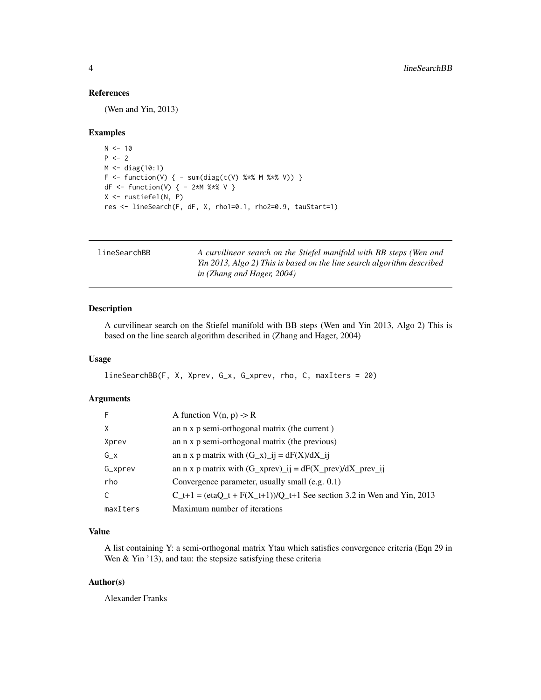#### <span id="page-3-0"></span>References

(Wen and Yin, 2013)

#### Examples

```
N < - 10P < -2M <- diag(10:1)
F <- function(V) { - sum(diag(t(V) %*% M %*% V)) }
dF <- function(V) { - 2*M %*% V }
X <- rustiefel(N, P)
res <- lineSearch(F, dF, X, rho1=0.1, rho2=0.9, tauStart=1)
```

| lineSearchBB | A curvilinear search on the Stiefel manifold with BB steps (Wen and    |
|--------------|------------------------------------------------------------------------|
|              | Yin 2013, Algo 2) This is based on the line search algorithm described |
|              | in (Zhang and Hager, 2004)                                             |

#### Description

A curvilinear search on the Stiefel manifold with BB steps (Wen and Yin 2013, Algo 2) This is based on the line search algorithm described in (Zhang and Hager, 2004)

#### Usage

```
lineSearchBB(F, X, Xprev, G_x, G_xprev, rho, C, maxIters = 20)
```
#### Arguments

| -F       | A function $V(n, p) \rightarrow R$                                                |
|----------|-----------------------------------------------------------------------------------|
| $\times$ | an n x p semi-orthogonal matrix (the current)                                     |
| Xprev    | an n x p semi-orthogonal matrix (the previous)                                    |
| $G_X$    | an n x p matrix with $(G_x)$ _ij = dF(X)/dX_ij                                    |
| G_xprev  | an n x p matrix with $(G_x \text{prev})_i = dF(X_p \text{rev})/dX_p \text{rev}_i$ |
| rho      | Convergence parameter, usually small (e.g. 0.1)                                   |
| C        | $C_t+1 = (etaC_t + F(X_t+1))/Q_t+1$ See section 3.2 in Wen and Yin, 2013          |
| maxIters | Maximum number of iterations                                                      |

#### Value

A list containing Y: a semi-orthogonal matrix Ytau which satisfies convergence criteria (Eqn 29 in Wen & Yin '13), and tau: the stepsize satisfying these criteria

#### Author(s)

Alexander Franks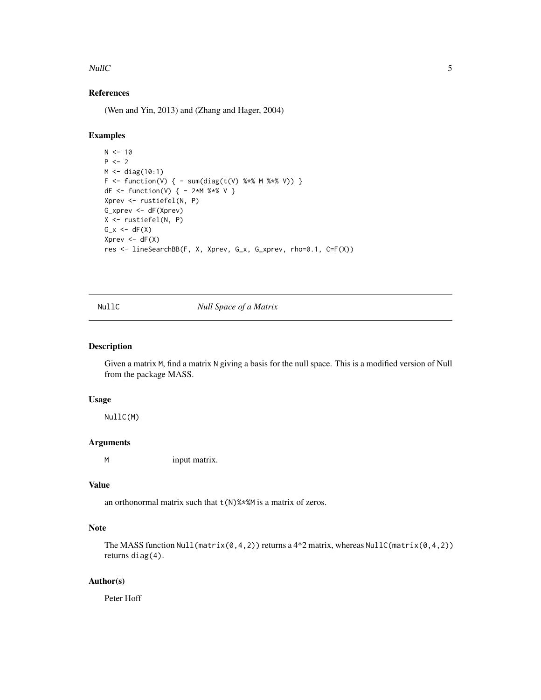#### <span id="page-4-0"></span> $NullC$  5

#### References

(Wen and Yin, 2013) and (Zhang and Hager, 2004)

#### Examples

```
N < - 10P < - 2M <- diag(10:1)
F \leq - function(V) { - sum(diag(t(V) %*% M %*% V)) }
dF <- function(V) { - 2*M %*% V }
Xprev <- rustiefel(N, P)
G_xprev <- dF(Xprev)
X <- rustiefel(N, P)
G_x \leftarrow dF(X)Xprev \leftarrow dF(X)res <- lineSearchBB(F, X, Xprev, G_x, G_xprev, rho=0.1, C=F(X))
```
NullC *Null Space of a Matrix*

#### Description

Given a matrix M, find a matrix N giving a basis for the null space. This is a modified version of Null from the package MASS.

#### Usage

NullC(M)

#### Arguments

M input matrix.

#### Value

an orthonormal matrix such that  $t(N)$ %\*%M is a matrix of zeros.

#### Note

The MASS function Null(matrix(0,4,2)) returns a  $4*2$  matrix, whereas NullC(matrix(0,4,2)) returns diag(4).

#### Author(s)

Peter Hoff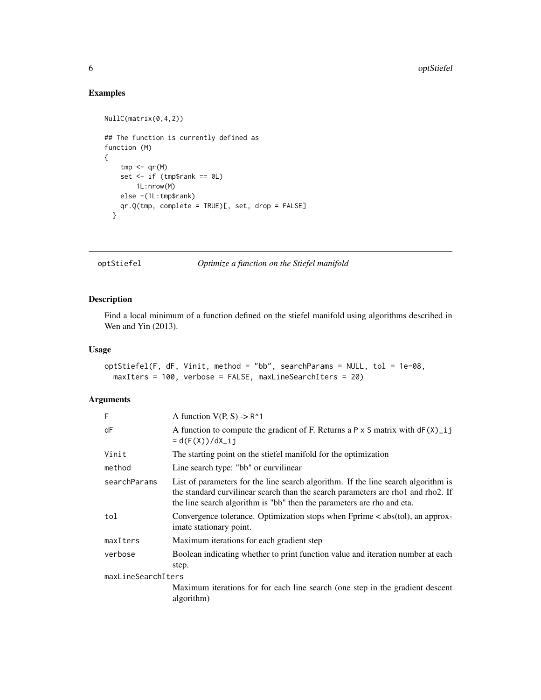#### Examples

```
NullC(matrix(0,4,2))
## The function is currently defined as
function (M)
{
    tmp < -qr(M)set \leq if (tmp$rank == 0L)
        1L:nrow(M)
   else -(1L:tmp$rank)
   qr.Q(tmp, complete = TRUE)[, set, drop = FALSE]
  }
```
optStiefel *Optimize a function on the Stiefel manifold*

#### Description

Find a local minimum of a function defined on the stiefel manifold using algorithms described in Wen and Yin (2013).

#### Usage

```
optStiefel(F, dF, Vinit, method = "bb", searchParams = NULL, tol = 1e-08,
 maxIters = 100, verbose = FALSE, maxLineSearchIters = 20)
```
#### Arguments

| F                  | A function $V(P, S) \rightarrow R^1$                                                                                                                                                                                                            |
|--------------------|-------------------------------------------------------------------------------------------------------------------------------------------------------------------------------------------------------------------------------------------------|
| dF                 | A function to compute the gradient of F. Returns a P $\times$ S matrix with dF( $X$ )_i j<br>$= d(F(X)) / dX_i$                                                                                                                                 |
| Vinit              | The starting point on the stiefel manifold for the optimization                                                                                                                                                                                 |
| method             | Line search type: "bb" or curvilinear                                                                                                                                                                                                           |
| searchParams       | List of parameters for the line search algorithm. If the line search algorithm is<br>the standard curvilinear search than the search parameters are rho1 and rho2. If<br>the line search algorithm is "bb" then the parameters are rho and eta. |
| tol                | Convergence tolerance. Optimization stops when $Fprime <$ abs(tol), an approx-<br>imate stationary point.                                                                                                                                       |
| maxIters           | Maximum iterations for each gradient step                                                                                                                                                                                                       |
| verbose            | Boolean indicating whether to print function value and iteration number at each<br>step.                                                                                                                                                        |
| maxLineSearchIters |                                                                                                                                                                                                                                                 |
|                    | Maximum iterations for for each line search (one step in the gradient descent<br>algorithm)                                                                                                                                                     |

<span id="page-5-0"></span>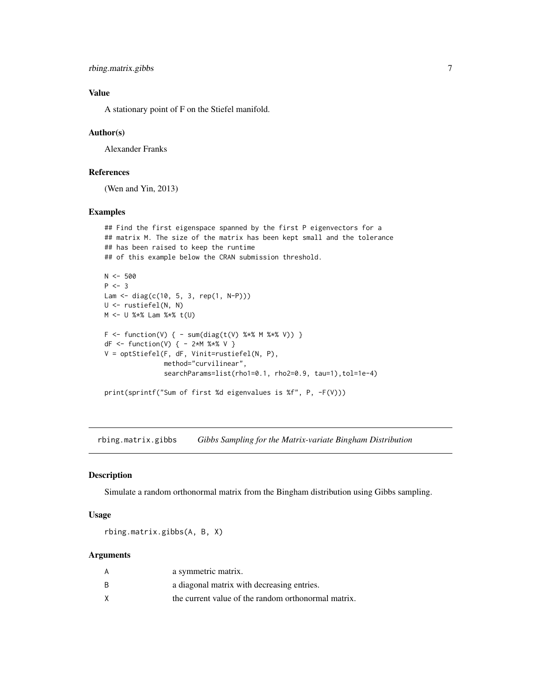```
rbing.matrix.gibbs 7
```
#### Value

A stationary point of F on the Stiefel manifold.

#### Author(s)

Alexander Franks

#### References

(Wen and Yin, 2013)

#### Examples

```
## Find the first eigenspace spanned by the first P eigenvectors for a
## matrix M. The size of the matrix has been kept small and the tolerance
## has been raised to keep the runtime
## of this example below the CRAN submission threshold.
N < -500P \leftarrow 3Lam <- diag(c(10, 5, 3, rep(1, N-P)))
U <- rustiefel(N, N)
```
M <- U %\*% Lam %\*% t(U)

```
F \leftarrow function(V) \{ - sum(diag(t(V) % * % M % * % V) \}dF <- function(V) { - 2*M %*% V }
V = optStiefel(F, dF, Vinit=rustiefel(N, P),
               method="curvilinear",
               searchParams=list(rho1=0.1, rho2=0.9, tau=1), tol=1e-4)
print(sprintf("Sum of first %d eigenvalues is %f", P, -F(V)))
```
rbing.matrix.gibbs *Gibbs Sampling for the Matrix-variate Bingham Distribution*

#### Description

Simulate a random orthonormal matrix from the Bingham distribution using Gibbs sampling.

#### Usage

rbing.matrix.gibbs(A, B, X)

#### **Arguments**

| A  | a symmetric matrix.                                 |
|----|-----------------------------------------------------|
| B. | a diagonal matrix with decreasing entries.          |
|    | the current value of the random orthonormal matrix. |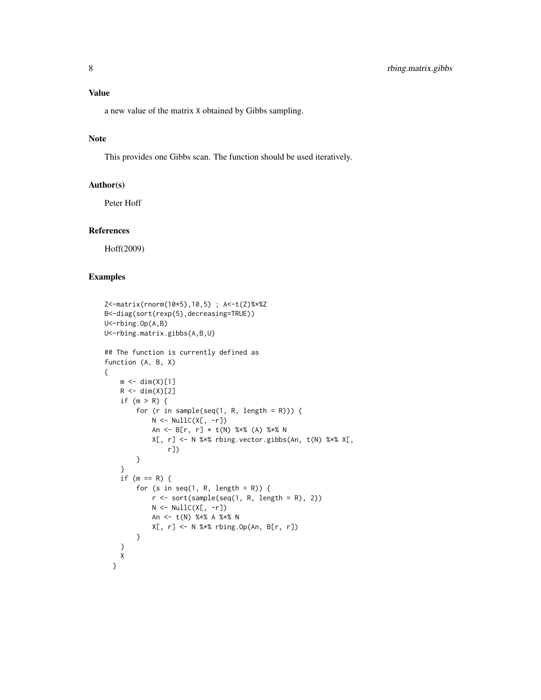#### Value

a new value of the matrix X obtained by Gibbs sampling.

#### Note

This provides one Gibbs scan. The function should be used iteratively.

#### Author(s)

Peter Hoff

#### References

Hoff(2009)

```
Z<-matrix(rnorm(10*5),10,5) ; A<-t(Z)%*%Z
B<-diag(sort(rexp(5),decreasing=TRUE))
U<-rbing.Op(A,B)
U<-rbing.matrix.gibbs(A,B,U)
## The function is currently defined as
function (A, B, X)
{
    m \leftarrow \text{dim}(X)[1]R \leftarrow \text{dim}(X)[2]if (m > R) {
        for (r in sample(seq(1, R, length = R))) {
             N \leftarrow \text{NullC}(X[, -r])An <- B[r, r] * t(N) %*% (A) %*% N
             X[, r] <- N %*% rbing.vector.gibbs(An, t(N) %*% X[,
                 r])
        }
    }
    if (m == R) {
        for (s in seq(1, R, length = R)) {
             r \le sort(sample(seq(1, R, length = R), 2))
             N \leftarrow \text{NullC}(X[, -r])An <- t(N) %*% A %*% N
             X[, r] <- N %*% rbing.Op(An, B[r, r])
        }
    }
    X
  }
```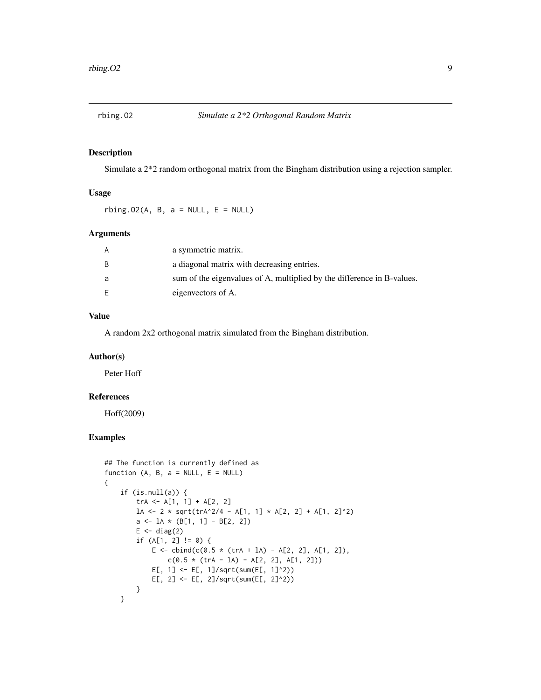<span id="page-8-0"></span>

#### Description

Simulate a 2\*2 random orthogonal matrix from the Bingham distribution using a rejection sampler.

#### Usage

rbing.02(A, B,  $a = NULL$ , E = NULL)

#### Arguments

| A  | a symmetric matrix.                                                    |
|----|------------------------------------------------------------------------|
| B. | a diagonal matrix with decreasing entries.                             |
| a  | sum of the eigenvalues of A, multiplied by the difference in B-values. |
| E  | eigenvectors of A.                                                     |

#### Value

A random 2x2 orthogonal matrix simulated from the Bingham distribution.

#### Author(s)

Peter Hoff

#### References

Hoff(2009)

```
## The function is currently defined as
function (A, B, a = NULL, E = NULL){
    if (is.null(a)) {
        trA <- A[1, 1] + A[2, 2]
        1A \leftarrow 2 * sqrt(trA^2/4 - A[1, 1] * A[2, 2] + A[1, 2]^2)a \leftarrow 1A * (B[1, 1] - B[2, 2])E \leftarrow diag(2)if (A[1, 2] != 0) {
             E \le - \text{cbind}(c(0.5 \times (trA + IA) - A[2, 2], A[1, 2]),c(0.5 * (trA - IA) - A[2, 2], A[1, 2]))E[, 1] <- E[, 1]/sqrt(sum(E[, 1]^2))
             E[, 2] <- E[, 2]/sqrt(sum(E[, 2]^2))
        }
    }
```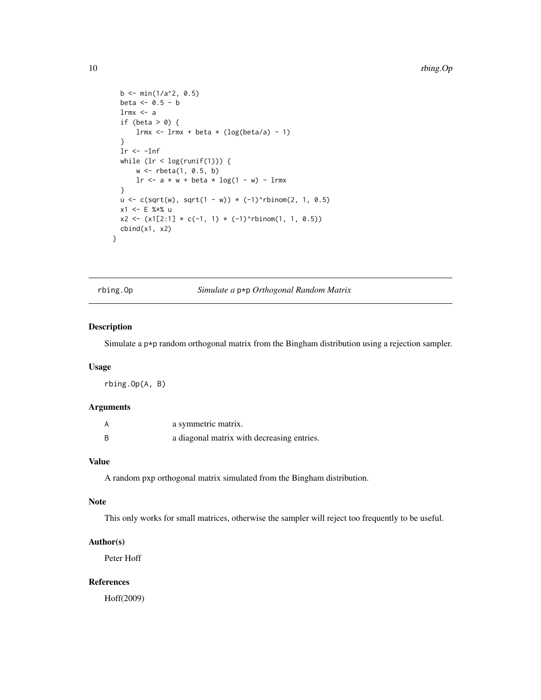```
b \le - \min(1/a^2, 0.5)beta <-0.5 - blrmx \leq a
  if (beta > 0) {
      lrmx \le 1rmx + beta * (log(beta/a) - 1)
  }
 lr < -Infwhile (lr < log(runif(1))) {
      w <- rbeta(1, 0.5, b)
      lr \leq -a * w + beta * log(1 - w) - lrmx}
 u \leq c(sqrt(w), sqrt(1 - w)) * (-1)^{n}binom(2, 1, 0.5)
 x1 <- E %*% u
 x2 \leftarrow (x1[2:1] * c(-1, 1) * (-1)^{n}rbinom(1, 1, 0.5))
 cbind(x1, x2)
}
```
rbing.Op *Simulate a* p\*p *Orthogonal Random Matrix*

#### Description

Simulate a p\*p random orthogonal matrix from the Bingham distribution using a rejection sampler.

#### Usage

rbing.Op(A, B)

#### Arguments

| А | a symmetric matrix.                        |
|---|--------------------------------------------|
| B | a diagonal matrix with decreasing entries. |

#### Value

A random pxp orthogonal matrix simulated from the Bingham distribution.

#### Note

This only works for small matrices, otherwise the sampler will reject too frequently to be useful.

#### Author(s)

Peter Hoff

#### References

Hoff(2009)

<span id="page-9-0"></span>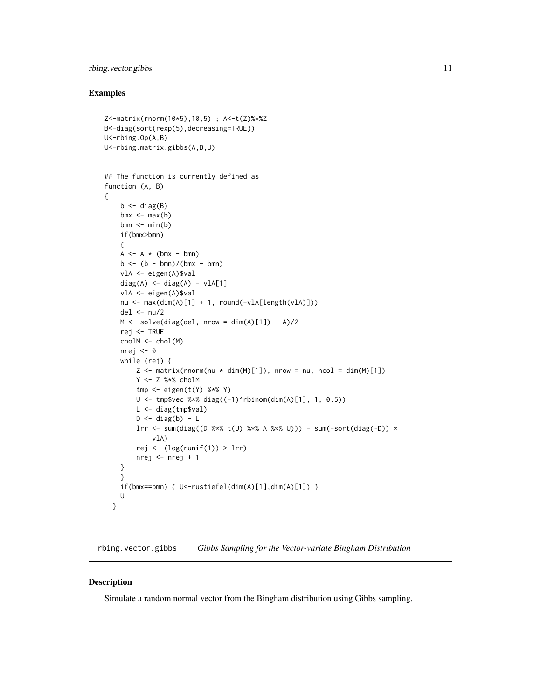#### <span id="page-10-0"></span>rbing.vector.gibbs 11

#### Examples

```
Z<-matrix(rnorm(10*5),10,5) ; A<-t(Z)%*%Z
B<-diag(sort(rexp(5),decreasing=TRUE))
U<-rbing.Op(A,B)
U<-rbing.matrix.gibbs(A,B,U)
## The function is currently defined as
function (A, B)
{
    b \leftarrow diag(B)bmx \leq max(b)bmn \leftarrow min(b)if(bmx>bmn)
    {
    A \leftarrow A * (bmx - bm)b \le - (b - bmn) / (bmx - bmn)vlA <- eigen(A)$val
    diag(A) \leq diag(A) - vlA[1]
    vlA <- eigen(A)$val
    nu <- max(dim(A)[1] + 1, round(-v1A[length(v1A)]))del \leq - nu/2
    M \leftarrow solve(diag(de1, nrow = dim(A)[1]) - A)/2rej <- TRUE
    cholM <- chol(M)
    nrej <- 0
    while (rej) {
        Z \leq - matrix(rnorm(nu * dim(M)[1]), nrow = nu, ncol = dim(M)[1])
        Y <- Z %*% cholM
        tmp \leftarrow eigen(t(Y) %*% Y)
        U \le - tmp$vec %*% diag((-1)^rbinom(dim(A)[1], 1, 0.5))
        L <- diag(tmp$val)
        D \leftarrow diag(b) - Llrr <- sum(diag((D %*% t(U) %*% A %*% U))) - sum(-sort(diag(-D)) *
            vlA)
        rej <- (log(runif(1)) > lrr)nrej <- nrej + 1
    }
    }
    if(bmx==bmn) {U<-rustiefel(dim(A)[1],dim(A)[1]) }U
  }
```
rbing.vector.gibbs *Gibbs Sampling for the Vector-variate Bingham Distribution*

#### Description

Simulate a random normal vector from the Bingham distribution using Gibbs sampling.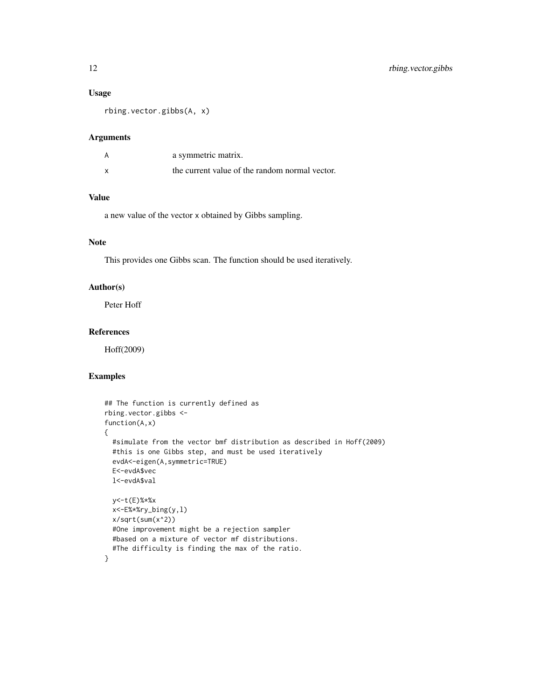#### Usage

rbing.vector.gibbs(A, x)

#### Arguments

| a symmetric matrix.                            |
|------------------------------------------------|
| the current value of the random normal vector. |

#### Value

a new value of the vector x obtained by Gibbs sampling.

#### Note

This provides one Gibbs scan. The function should be used iteratively.

#### Author(s)

Peter Hoff

#### References

Hoff(2009)

```
## The function is currently defined as
rbing.vector.gibbs <-
function(A,x)
{
 #simulate from the vector bmf distribution as described in Hoff(2009)
 #this is one Gibbs step, and must be used iteratively
 evdA<-eigen(A,symmetric=TRUE)
 E<-evdA$vec
 l<-evdA$val
 y<-t(E)%*%x
 x<-E%*%ry_bing(y,l)
 x/sqrt(sum(x^2))
 #One improvement might be a rejection sampler
 #based on a mixture of vector mf distributions.
 #The difficulty is finding the max of the ratio.
}
```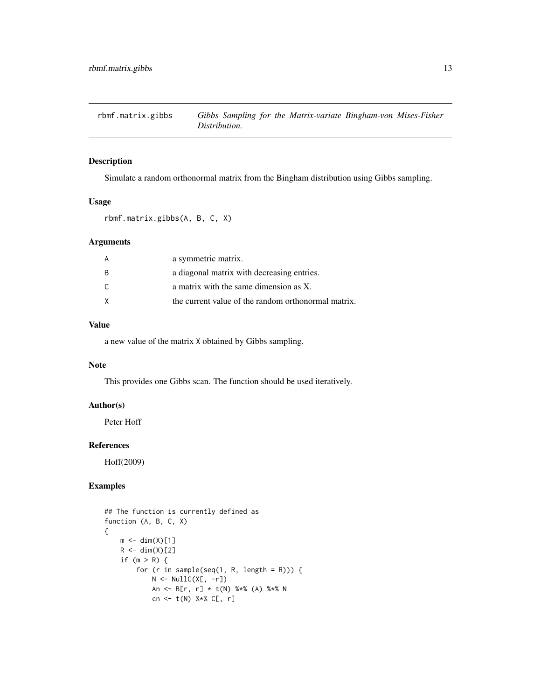<span id="page-12-0"></span>

#### Description

Simulate a random orthonormal matrix from the Bingham distribution using Gibbs sampling.

#### Usage

rbmf.matrix.gibbs(A, B, C, X)

#### Arguments

|     | a symmetric matrix.                                 |
|-----|-----------------------------------------------------|
| - B | a diagonal matrix with decreasing entries.          |
| C.  | a matrix with the same dimension as X.              |
| X   | the current value of the random orthonormal matrix. |
|     |                                                     |

#### Value

a new value of the matrix X obtained by Gibbs sampling.

#### Note

This provides one Gibbs scan. The function should be used iteratively.

#### Author(s)

Peter Hoff

#### References

Hoff(2009)

```
## The function is currently defined as
function (A, B, C, X)
{
    m \leftarrow \text{dim}(X)[1]R \leftarrow \text{dim}(X)[2]if (m > R) {
         for (r in sample(seq(1, R, length = R))) {
              N \leftarrow \text{NullC}(X[, -r])An <- B[r, r] * t(N) %*% (A) %*% N
              cn <- t(N) %*% C[, r]
```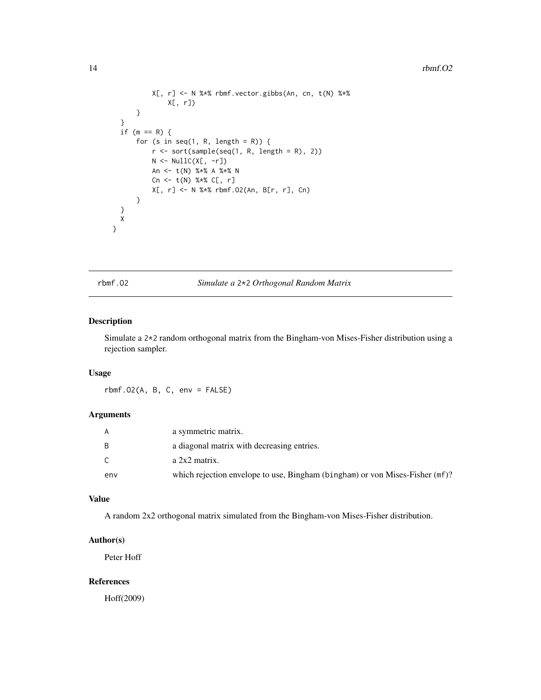```
X[, r] <- N %*% rbmf.vector.gibbs(An, cn, t(N) %*%
              X[, r])
      }
  }
  if (m == R) {
      for (s in seq(1, R, length = R)) {
          r \le sort(sample(seq(1, R, length = R), 2))
          N \leftarrow \text{NullC}(X[, -r])An <- t(N) %*% A %*% N
          Cn \le t(N) %*% C[, r]X[, r] <- N %*% rbmf.O2(An, B[r, r], Cn)
      }
 }
 X
}
```
rbmf.O2 *Simulate a* 2\*2 *Orthogonal Random Matrix*

#### Description

Simulate a 2\*2 random orthogonal matrix from the Bingham-von Mises-Fisher distribution using a rejection sampler.

#### Usage

 $rbmf.O2(A, B, C, env = FALSE)$ 

#### Arguments

| A   | a symmetric matrix.                                                          |
|-----|------------------------------------------------------------------------------|
| B   | a diagonal matrix with decreasing entries.                                   |
| C.  | a 2x2 matrix.                                                                |
| env | which rejection envelope to use, Bingham (bingham) or von Mises-Fisher (mf)? |

#### Value

A random 2x2 orthogonal matrix simulated from the Bingham-von Mises-Fisher distribution.

#### Author(s)

Peter Hoff

#### References

Hoff(2009)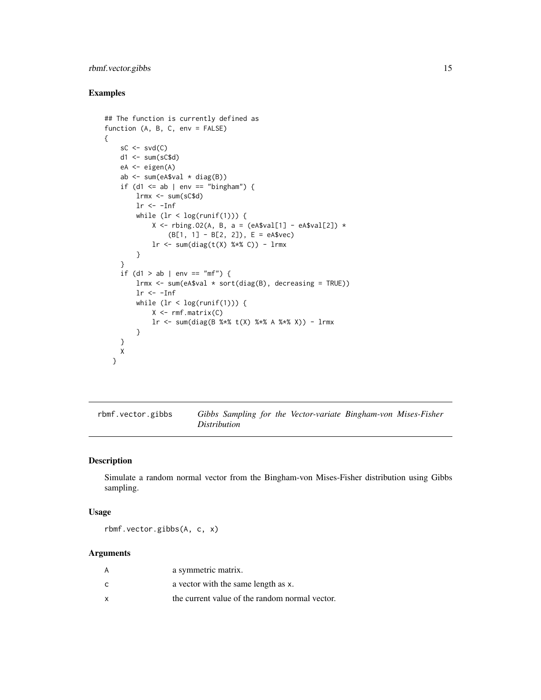#### <span id="page-14-0"></span>rbmf.vector.gibbs 15

#### Examples

{

```
## The function is currently defined as
function (A, B, C, env = FALSE)
    sC \leftarrow svd(C)d1 <- sum(sC$d)
    eA <- eigen(A)
    ab <- sum(eA$val * diag(B))
    if (d1 \le ab | env == "bingham") {
        lrm < - sum(sC$d)lr < -Infwhile (lr < log(runif(1))) {
            X \le - rbing.02(A, B, a = (eA$val[1] - eA$val[2]) *
                (B[1, 1] - B[2, 2]), E = eA$vec)
            lr \leftarrow sum(diag(t(X) % * % C)) - lrmx}
    }
    if (d1 > ab | env == "mf") {
        lrmx <- sum(eA$val * sort(diag(B), decreasing = TRUE))
        lr < -Infwhile (lr < log(runif(1))) {
            X \leftarrow rmf.matrix(C)lr <- sum(diag(B %*% t(X) %*% A %*% X)) - lrmx
        }
    }
    X
  }
```
rbmf.vector.gibbs *Gibbs Sampling for the Vector-variate Bingham-von Mises-Fisher Distribution*

#### Description

Simulate a random normal vector from the Bingham-von Mises-Fisher distribution using Gibbs sampling.

#### Usage

rbmf.vector.gibbs(A, c, x)

#### Arguments

| A | a symmetric matrix.                            |
|---|------------------------------------------------|
| C | a vector with the same length as x.            |
| x | the current value of the random normal vector. |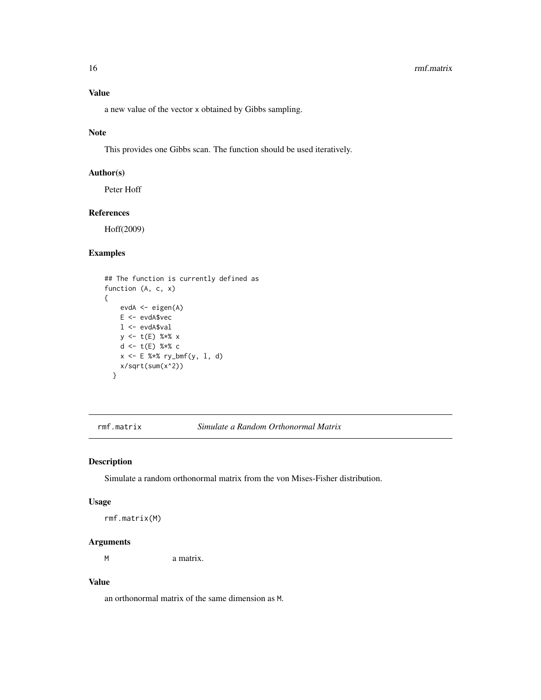#### <span id="page-15-0"></span>16 *mmf.matrix*

### Value

a new value of the vector x obtained by Gibbs sampling.

#### Note

This provides one Gibbs scan. The function should be used iteratively.

#### Author(s)

Peter Hoff

#### References

Hoff(2009)

#### Examples

```
## The function is currently defined as
function (A, c, x)
{
    evdA <- eigen(A)
    E <- evdA$vec
    l <- evdA$val
    y \leq t(E) %*% x
    d <- t(E) %*% c
    x \le -E %*% ry_bmf(y, 1, d)
    x/sqrt(sum(x^2))
  }
```
rmf.matrix *Simulate a Random Orthonormal Matrix*

#### Description

Simulate a random orthonormal matrix from the von Mises-Fisher distribution.

#### Usage

rmf.matrix(M)

#### Arguments

M a matrix.

#### Value

an orthonormal matrix of the same dimension as M.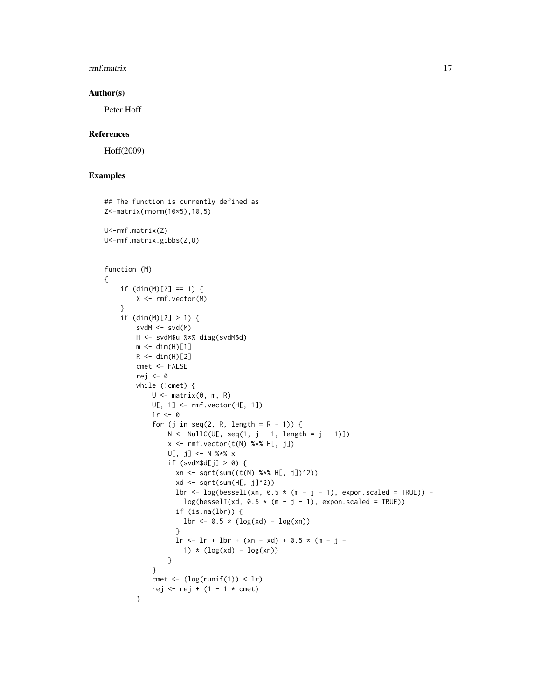#### rmf.matrix 17

#### Author(s)

Peter Hoff

#### References

Hoff(2009)

```
## The function is currently defined as
Z<-matrix(rnorm(10*5),10,5)
U<-rmf.matrix(Z)
U<-rmf.matrix.gibbs(Z,U)
function (M)
{
    if (dim(M)[2] == 1) {
        X <- rmf.vector(M)
    }
    if (dim(M)[2] > 1) {
        svdM \leftarrow \text{svd}(M)H <- svdM$u %*% diag(svdM$d)
        m < - dim(H)[1]
        R \leftarrow \text{dim}(H)[2]cmet <- FALSE
        rej <- 0
        while (!cmet) {
            U \leq - matrix(0, m, R)
            U[, 1] <- rmf.vector(H[, 1])
            lr < -0for (j in seq(2, R, length = R - 1)) {
                 N <- NullC(U[, seq(1, j - 1, length = j - 1)])
                 x \leftarrow rmf.vector(t(N) % *\ H[, j])
                 U[, j] <- N %*% x
                 if (svdM$d[j] > 0) {
                   xn <- sqrt(sum((t(N) %*% H[, j])^2))
                   xd \leftarrow sqrt(sum(H[, j]^{2})lbr <- log(besselI(xn, 0.5 * (m - j - 1), expon.scaled = TRUE)) -
                     log(besselI(xd, 0.5 * (m - j - 1), expon.scaled = TRUE))if (is.na(lbr)) {
                    lbr \le -0.5 * (log(xd) - log(xn))}
                   \ln <- \ln + \ln + (xn - xd) + 0.5 * (m - j -1) *(\log(xd) - \log(xn))}
             }
             cmet \leftarrow (log(runif(1)) \leftarrow lr)
             rej <- rej + (1 - 1 \times cmet)
        }
```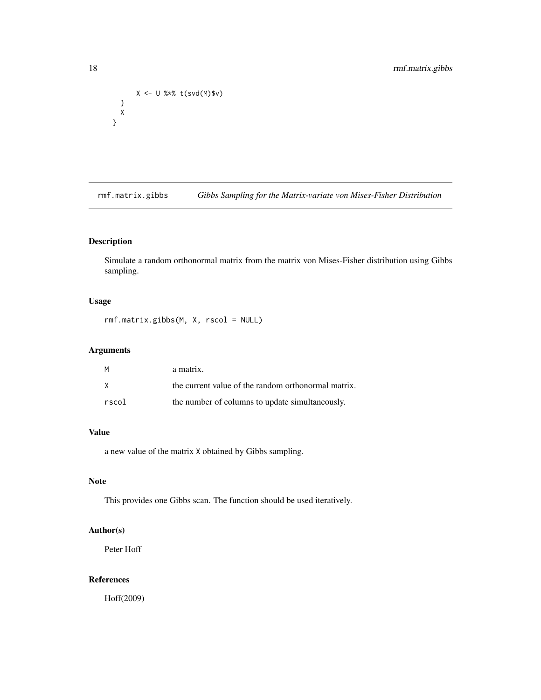```
X <- U %*% t(svd(M)$v)
 }
 X
}
```
rmf.matrix.gibbs *Gibbs Sampling for the Matrix-variate von Mises-Fisher Distribution*

#### Description

Simulate a random orthonormal matrix from the matrix von Mises-Fisher distribution using Gibbs sampling.

#### Usage

rmf.matrix.gibbs(M, X, rscol = NULL)

### Arguments

| M     | a matrix.                                           |
|-------|-----------------------------------------------------|
| X     | the current value of the random orthonormal matrix. |
| rscol | the number of columns to update simultaneously.     |

#### Value

a new value of the matrix X obtained by Gibbs sampling.

#### Note

This provides one Gibbs scan. The function should be used iteratively.

#### Author(s)

Peter Hoff

#### References

Hoff(2009)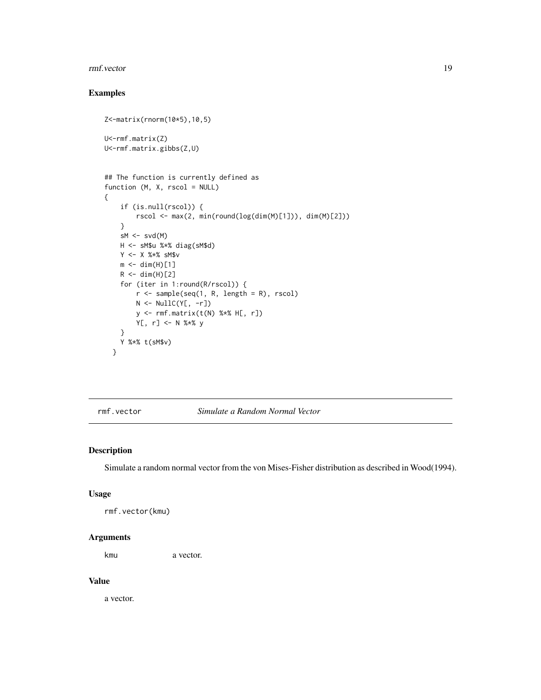#### <span id="page-18-0"></span>rmf.vector 19

#### Examples

```
Z<-matrix(rnorm(10*5),10,5)
U<-rmf.matrix(Z)
U<-rmf.matrix.gibbs(Z,U)
## The function is currently defined as
function (M, X, rscol = NULL)
{
    if (is.null(rscol)) {
        rscol <- max(2, min(round(log(dim(M)[1])), dim(M)[2]))
    }
    sM \leftarrow svd(M)H <- sM$u %*% diag(sM$d)
    Y <- X %*% sM$v
    m \leftarrow \text{dim}(H)[1]R < -dim(H)[2]for (iter in 1:round(R/rscol)) {
        r <- sample(seq(1, R, length = R), rscol)
        N <- NullC(Y[, -r])
        y <- rmf.matrix(t(N) %*% H[, r])
        Y[, r] <- N %*% y
    }
    Y %*% t(sM$v)
  }
```
rmf.vector *Simulate a Random Normal Vector*

#### Description

Simulate a random normal vector from the von Mises-Fisher distribution as described in Wood(1994).

#### Usage

```
rmf.vector(kmu)
```
#### Arguments

kmu a vector.

#### Value

a vector.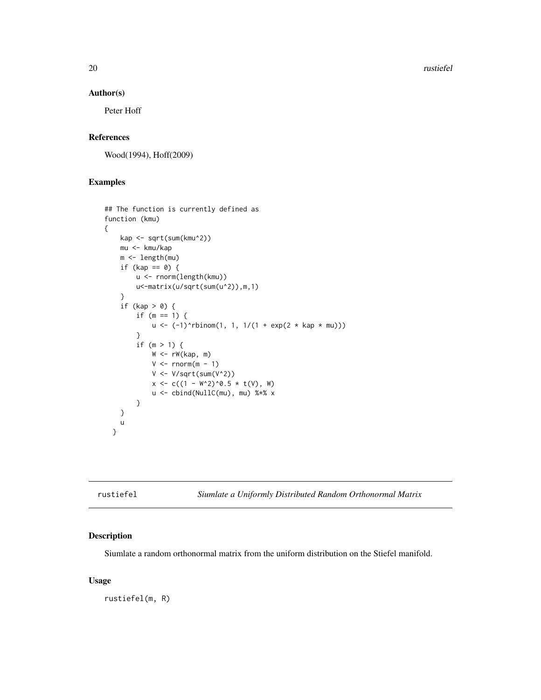<span id="page-19-0"></span>20 rustiefel

#### Author(s)

Peter Hoff

#### References

Wood(1994), Hoff(2009)

#### Examples

```
## The function is currently defined as
function (kmu)
{
    kap <- sqrt(sum(kmu^2))
    mu <- kmu/kap
    m <- length(mu)
    if (kap == 0) {
        u <- rnorm(length(kmu))
        u<-matrix(u/sqrt(sum(u^2)),m,1)
    }
    if (kap > 0) {
        if (m == 1) {
            u \le -(-1)^{\text{th}}nbinom(1, 1, 1/(1 + exp(2 * kap * mu)))
        }
        if (m > 1) {
            W < -rW(kap, m)V \leftarrow \text{norm}(m - 1)V <- V/sqrt(sum(V^2))
             x \leq -c((1 - W^2)^0.5 \times t(V), W)u <- cbind(NullC(mu), mu) %*% x
        }
    }
    u
  }
```
rustiefel *Siumlate a Uniformly Distributed Random Orthonormal Matrix*

#### Description

Siumlate a random orthonormal matrix from the uniform distribution on the Stiefel manifold.

#### Usage

rustiefel(m, R)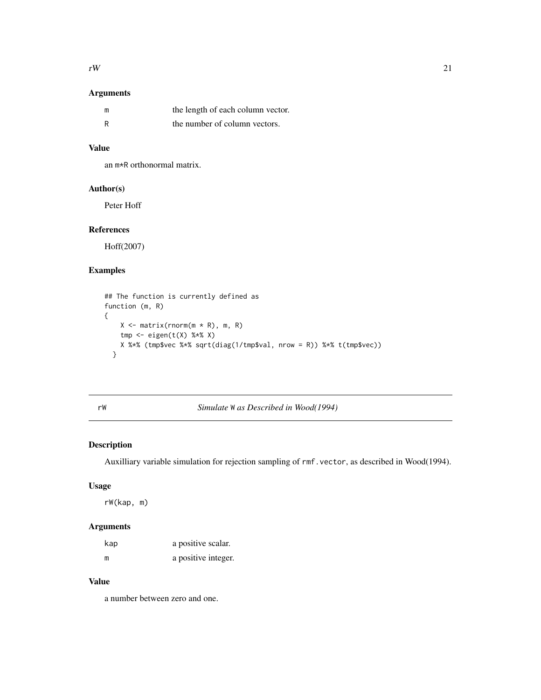#### <span id="page-20-0"></span>Arguments

| m   | the length of each column vector. |
|-----|-----------------------------------|
| - R | the number of column vectors.     |

#### Value

an m\*R orthonormal matrix.

#### Author(s)

Peter Hoff

#### References

Hoff(2007)

#### Examples

```
## The function is currently defined as
function (m, R)
{
    X \leftarrow \text{matrix}(rnorm(m * R), m, R)tmp \leftarrow eigen(t(X) % * \& X)X %*% (tmp$vec %*% sqrt(diag(1/tmp$val, nrow = R)) %*% t(tmp$vec))
  }
```

| ۰. |   |
|----|---|
| ×  | × |

#### rW *Simulate* W *as Described in Wood(1994)*

#### Description

Auxilliary variable simulation for rejection sampling of rmf.vector, as described in Wood(1994).

#### Usage

rW(kap, m)

#### Arguments

| kap | a positive scalar.  |
|-----|---------------------|
| m   | a positive integer. |

#### Value

a number between zero and one.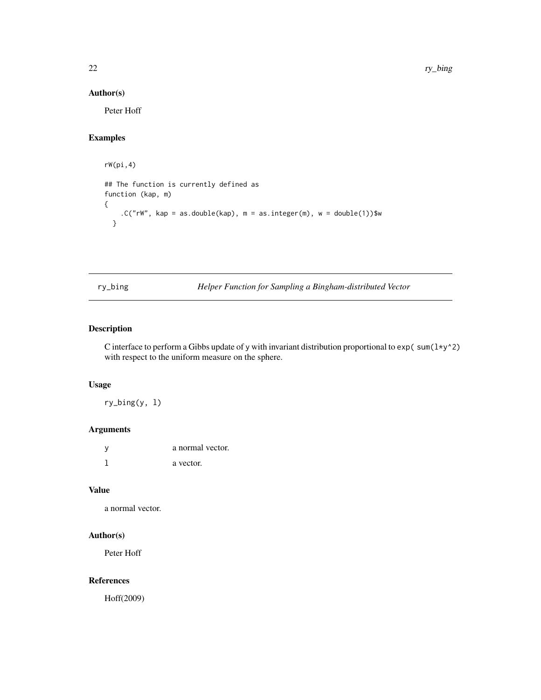#### <span id="page-21-0"></span>Author(s)

Peter Hoff

#### Examples

```
rW(pi,4)
## The function is currently defined as
function (kap, m)
{
   .C("rw", kap = as.double(kap), m = as.integer(m), w = double(1))$w
  }
```
ry\_bing *Helper Function for Sampling a Bingham-distributed Vector*

#### Description

C interface to perform a Gibbs update of y with invariant distribution proportional to  $exp(\text{sum}(1*y^2))$ with respect to the uniform measure on the sphere.

#### Usage

ry\_bing(y, l)

#### Arguments

| <b>V</b> | a normal vector. |
|----------|------------------|
|          | a vector.        |

#### Value

a normal vector.

#### Author(s)

Peter Hoff

#### References

Hoff(2009)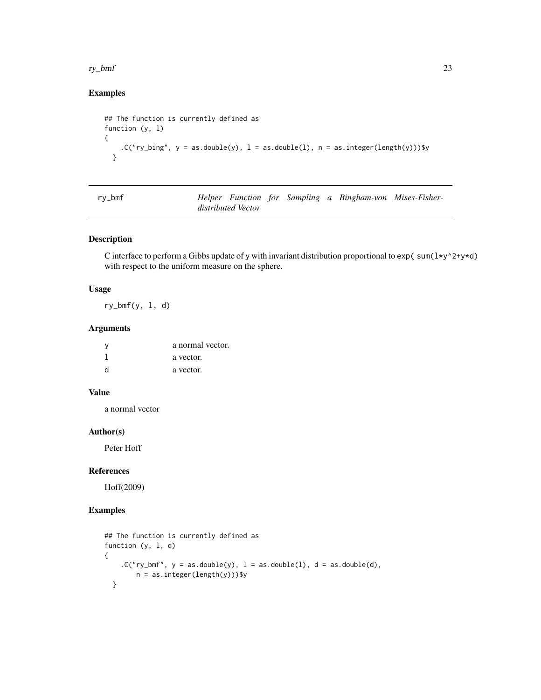#### <span id="page-22-0"></span>ry\_bmf 23

#### Examples

```
## The function is currently defined as
function (y, l)
{
    .C("ry_bing", y = as.double(y), 1 = as.double(1), n = as.integer(length(y)))$y
  }
```

| ٠<br>I |  |
|--------|--|
|--------|--|

Helper Function for Sampling a Bingham-von Mises-Fisher*distributed Vector*

#### Description

C interface to perform a Gibbs update of y with invariant distribution proportional to  $exp(\sum \sum y^2 + y^2)$ with respect to the uniform measure on the sphere.

#### Usage

 $ry_bmf(y, 1, d)$ 

#### Arguments

| - V          | a normal vector. |
|--------------|------------------|
|              | a vector.        |
| <sub>d</sub> | a vector.        |

#### Value

a normal vector

#### Author(s)

Peter Hoff

#### References

Hoff(2009)

```
## The function is currently defined as
function (y, l, d)
{
   C("ry_bmf", y = as.double(y), l = as.double(l), d = as.double(d),n = as.integer(length(y)))$y
 }
```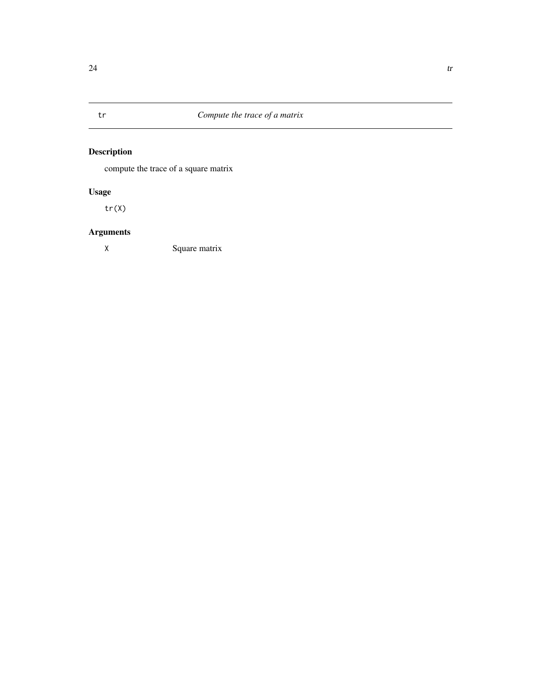<span id="page-23-0"></span>

# Description

compute the trace of a square matrix

# Usage

tr(X)

# Arguments

X Square matrix